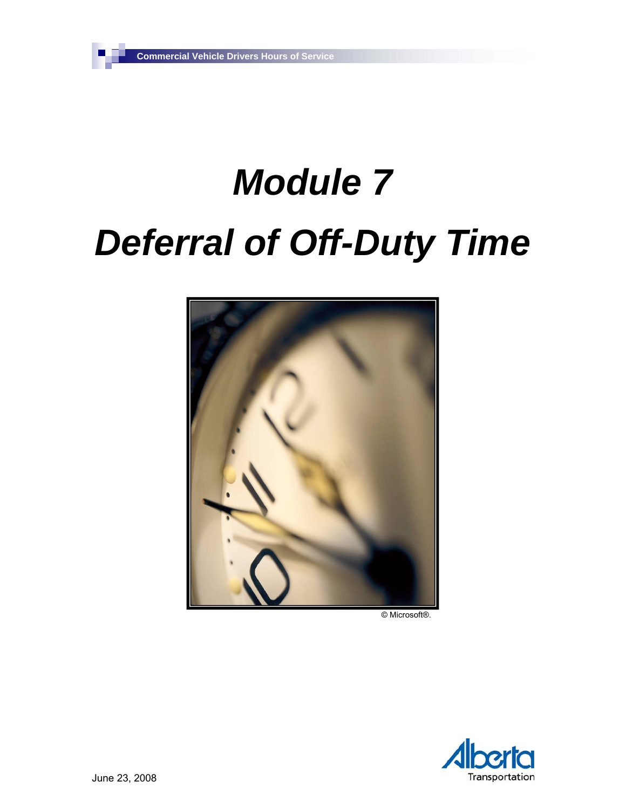٦

# *Module 7 Deferral of Off-Duty Time*



© Microsoft®.

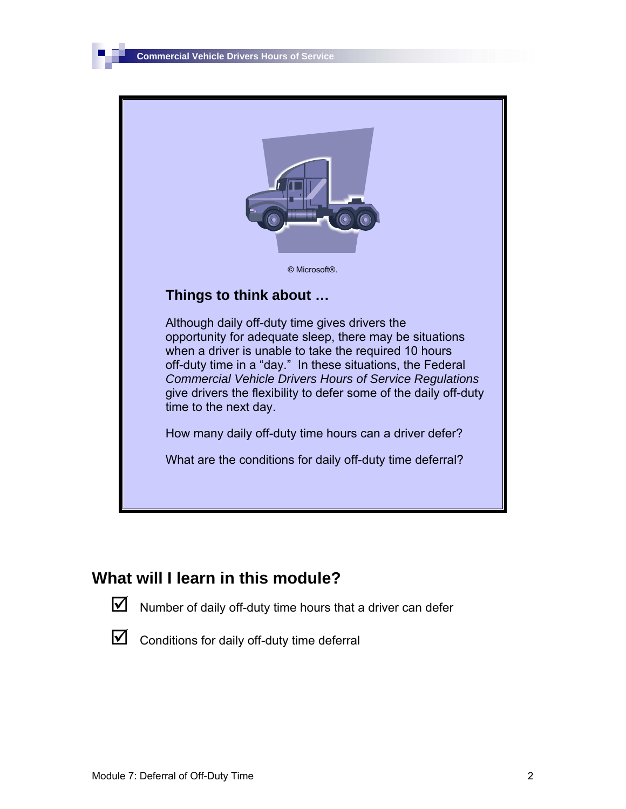

#### **What will I learn in this module?**

 $\triangledown$  Number of daily off-duty time hours that a driver can defer

 $\triangledown$  Conditions for daily off-duty time deferral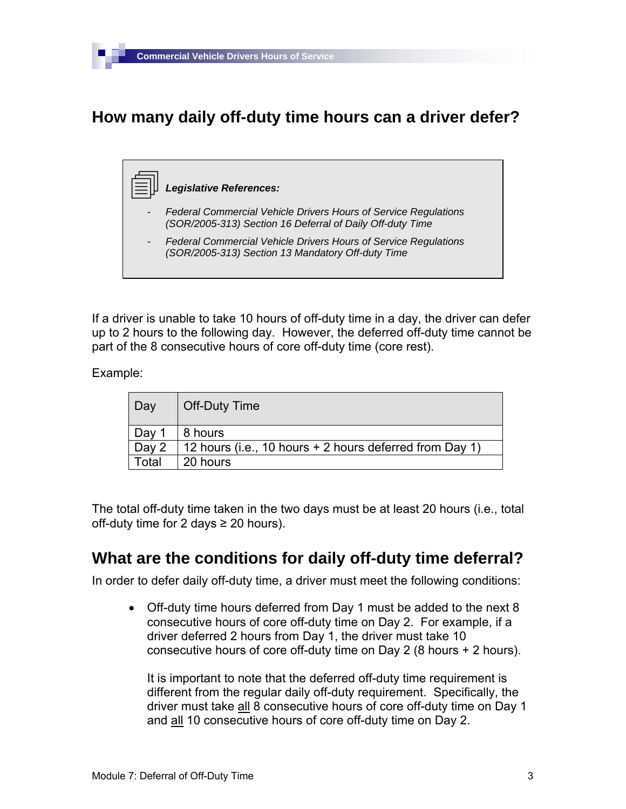## **How many daily off-duty time hours can a driver defer?**

#### *Legislative References:*

- *Federal Commercial Vehicle Drivers Hours of Service Regulations (SOR/2005-313) Section 16 Deferral of Daily Off-duty Time*
- *Federal Commercial Vehicle Drivers Hours of Service Regulations (SOR/2005-313) Section 13 Mandatory Off-duty Time*

If a driver is unable to take 10 hours of off-duty time in a day, the driver can defer up to 2 hours to the following day. However, the deferred off-duty time cannot be part of the 8 consecutive hours of core off-duty time (core rest).

Example:

| Day               | Off-Duty Time                                           |
|-------------------|---------------------------------------------------------|
| Day 1             | 8 hours                                                 |
| Day 2             | 12 hours (i.e., 10 hours + 2 hours deferred from Day 1) |
| <sup>-</sup> otal | 20 hours                                                |

The total off-duty time taken in the two days must be at least 20 hours (i.e., total off-duty time for 2 days  $\geq$  20 hours).

### **What are the conditions for daily off-duty time deferral?**

In order to defer daily off-duty time, a driver must meet the following conditions:

• Off-duty time hours deferred from Day 1 must be added to the next 8 consecutive hours of core off-duty time on Day 2. For example, if a driver deferred 2 hours from Day 1, the driver must take 10 consecutive hours of core off-duty time on Day 2 (8 hours + 2 hours).

It is important to note that the deferred off-duty time requirement is different from the regular daily off-duty requirement. Specifically, the driver must take all 8 consecutive hours of core off-duty time on Day 1 and all 10 consecutive hours of core off-duty time on Day 2.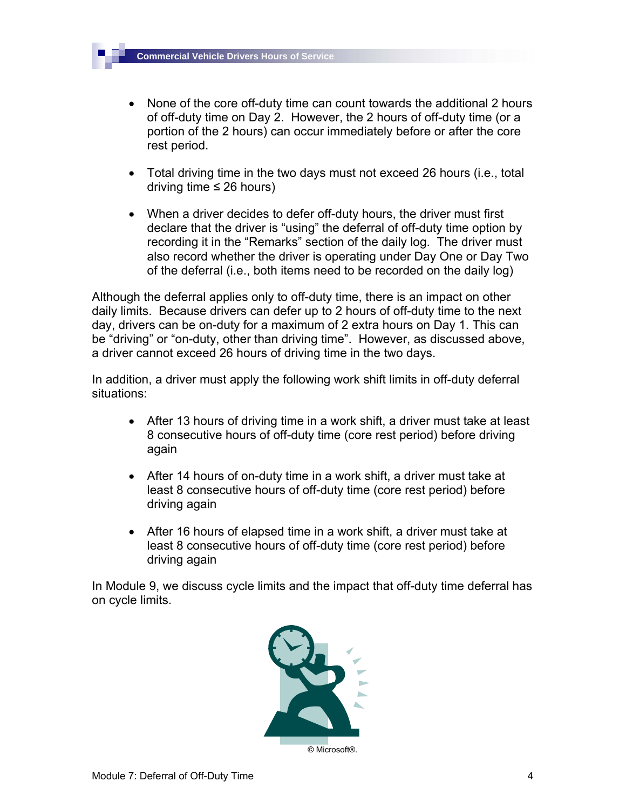- None of the core off-duty time can count towards the additional 2 hours of off-duty time on Day 2. However, the 2 hours of off-duty time (or a portion of the 2 hours) can occur immediately before or after the core rest period.
- Total driving time in the two days must not exceed 26 hours (i.e., total driving time  $\leq$  26 hours)
- When a driver decides to defer off-duty hours, the driver must first declare that the driver is "using" the deferral of off-duty time option by recording it in the "Remarks" section of the daily log. The driver must also record whether the driver is operating under Day One or Day Two of the deferral (i.e., both items need to be recorded on the daily log)

Although the deferral applies only to off-duty time, there is an impact on other daily limits. Because drivers can defer up to 2 hours of off-duty time to the next day, drivers can be on-duty for a maximum of 2 extra hours on Day 1. This can be "driving" or "on-duty, other than driving time". However, as discussed above, a driver cannot exceed 26 hours of driving time in the two days.

In addition, a driver must apply the following work shift limits in off-duty deferral situations:

- After 13 hours of driving time in a work shift, a driver must take at least 8 consecutive hours of off-duty time (core rest period) before driving again
- After 14 hours of on-duty time in a work shift, a driver must take at least 8 consecutive hours of off-duty time (core rest period) before driving again
- After 16 hours of elapsed time in a work shift, a driver must take at least 8 consecutive hours of off-duty time (core rest period) before driving again

In Module 9, we discuss cycle limits and the impact that off-duty time deferral has on cycle limits.

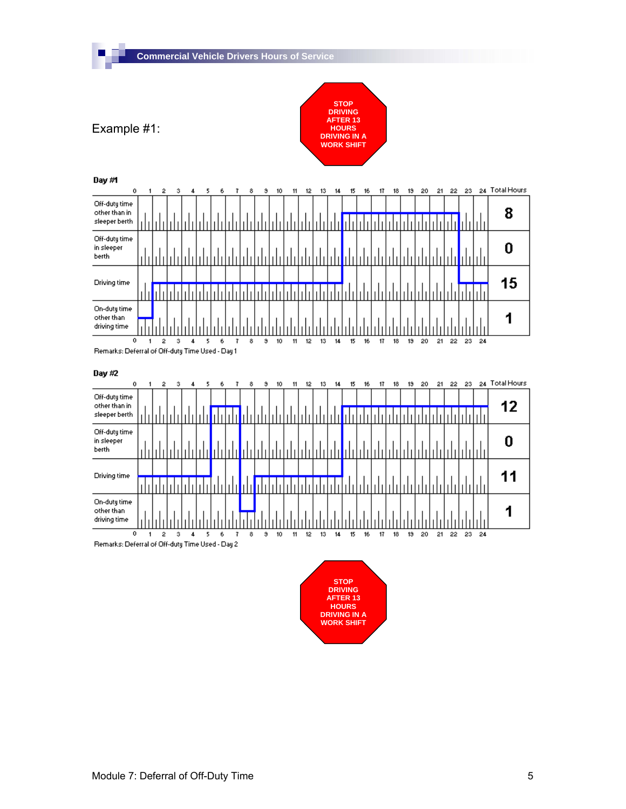

 $17$  $18$ 

 $13 - 20$ 

 $13 - 20$ 

21 22 23 24

21 22 23 24 Total Hours

8

0

15

1



 $\overline{\mathfrak{o}}$  $1 \quad 2 \quad 3$  $\overline{4}$  $5<sub>1</sub>$ 6  $\overline{7}$  $\bullet$ Remarks: Deferral of Off-duty Time Used - Day 1

Day #2

driving time

 $\overline{\phantom{a}}$ 



 $13$  $\overline{14}$  $15$  16  $17$  $18$ 

 $11$   $12$ 

 $10$ 

 $\mathbf{3}$ 

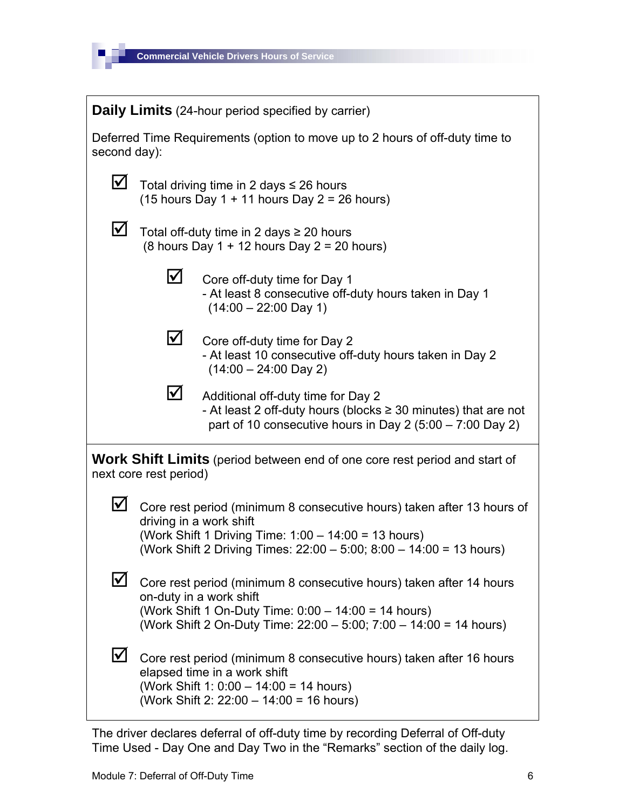

| <b>Daily Limits</b> (24-hour period specified by carrier) |                                                                                                                                                                                            |                                                                                                                                                                                                                                  |  |
|-----------------------------------------------------------|--------------------------------------------------------------------------------------------------------------------------------------------------------------------------------------------|----------------------------------------------------------------------------------------------------------------------------------------------------------------------------------------------------------------------------------|--|
|                                                           | Deferred Time Requirements (option to move up to 2 hours of off-duty time to<br>second day):                                                                                               |                                                                                                                                                                                                                                  |  |
| ⊻                                                         | Total driving time in 2 days $\leq$ 26 hours<br>$(15$ hours Day 1 + 11 hours Day 2 = 26 hours)                                                                                             |                                                                                                                                                                                                                                  |  |
| $\bm{\mathsf{\Sigma}}$                                    |                                                                                                                                                                                            | Total off-duty time in 2 days $\geq 20$ hours<br>$(8 \text{ hours Day } 1 + 12 \text{ hours Day } 2 = 20 \text{ hours})$                                                                                                         |  |
|                                                           | ⊻                                                                                                                                                                                          | Core off-duty time for Day 1<br>- At least 8 consecutive off-duty hours taken in Day 1<br>$(14:00 - 22:00$ Day 1)                                                                                                                |  |
|                                                           | $\boldsymbol{\mathsf{\Sigma}}$                                                                                                                                                             | Core off-duty time for Day 2<br>- At least 10 consecutive off-duty hours taken in Day 2<br>$(14:00 - 24:00$ Day 2)                                                                                                               |  |
|                                                           | $\boldsymbol{\mathsf{\Sigma}}$                                                                                                                                                             | Additional off-duty time for Day 2<br>- At least 2 off-duty hours (blocks $\geq$ 30 minutes) that are not<br>part of 10 consecutive hours in Day 2 $(5.00 - 7.00$ Day 2)                                                         |  |
|                                                           | next core rest period)                                                                                                                                                                     | <b>Work Shift Limits</b> (period between end of one core rest period and start of                                                                                                                                                |  |
| ⊻                                                         |                                                                                                                                                                                            | Core rest period (minimum 8 consecutive hours) taken after 13 hours of<br>driving in a work shift<br>(Work Shift 1 Driving Time: 1:00 - 14:00 = 13 hours)<br>(Work Shift 2 Driving Times: 22:00 - 5:00; 8:00 - 14:00 = 13 hours) |  |
| Ⅳ                                                         |                                                                                                                                                                                            | Core rest period (minimum 8 consecutive hours) taken after 14 hours<br>on-duty in a work shift<br>(Work Shift 1 On-Duty Time: 0:00 - 14:00 = 14 hours)<br>(Work Shift 2 On-Duty Time: 22:00 - 5:00; 7:00 - 14:00 = 14 hours)     |  |
| $\bm{\mathcal{V}}$                                        | Core rest period (minimum 8 consecutive hours) taken after 16 hours<br>elapsed time in a work shift<br>(Work Shift 1: 0:00 - 14:00 = 14 hours)<br>(Work Shift 2: 22:00 - 14:00 = 16 hours) |                                                                                                                                                                                                                                  |  |

The driver declares deferral of off-duty time by recording Deferral of Off-duty Time Used - Day One and Day Two in the "Remarks" section of the daily log.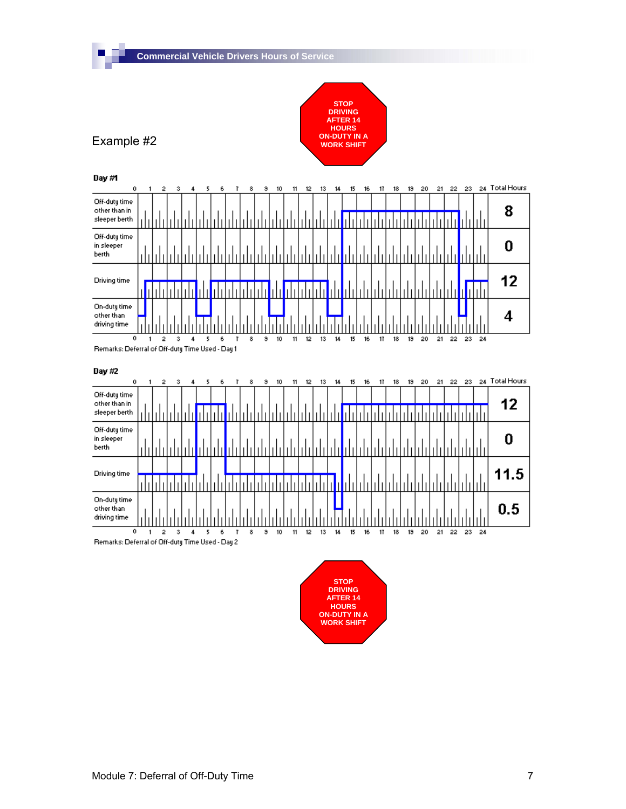



 $\overline{\phantom{a}}$ 



Remarks: Deferral of Off-duty Time Used - Day 1

Day #2



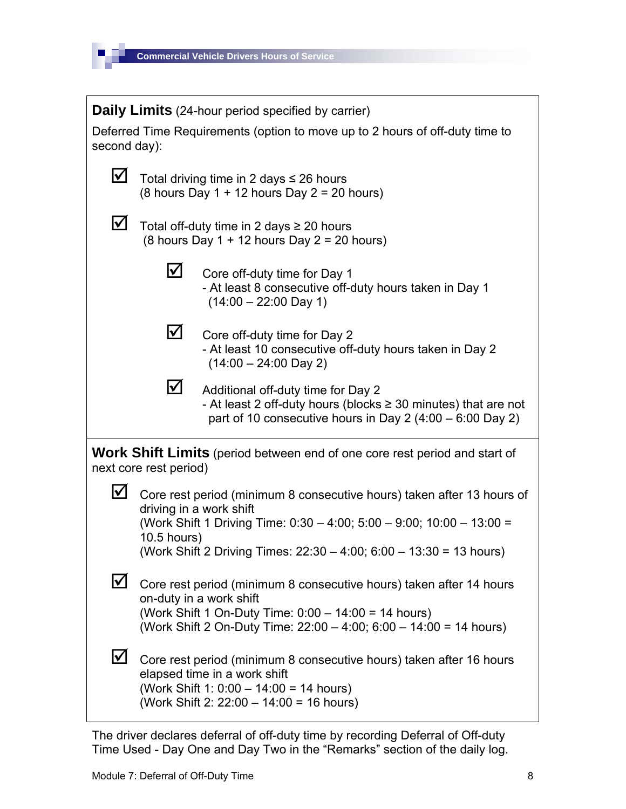

**Daily Limits** (24-hour period specified by carrier) Deferred Time Requirements (option to move up to 2 hours of off-duty time to second day):  $\triangledown$  Total driving time in 2 days  $\leq$  26 hours (8 hours Day 1 + 12 hours Day 2 = 20 hours)  $\triangledown$  Total off-duty time in 2 days  $\ge$  20 hours (8 hours Day  $1 + 12$  hours Day  $2 = 20$  hours)  $\blacksquare$  Core off-duty time for Day 1 - At least 8 consecutive off-duty hours taken in Day 1  $(14:00 - 22:00 \text{ Day } 1)$  $\triangleright$  Core off-duty time for Day 2 - At least 10 consecutive off-duty hours taken in Day 2 (14:00 – 24:00 Day 2)  $\triangleright$  Additional off-duty time for Day 2 - At least 2 off-duty hours (blocks ≥ 30 minutes) that are not part of 10 consecutive hours in Day 2 (4:00 – 6:00 Day 2) **Work Shift Limits** (period between end of one core rest period and start of next core rest period)  $\Box$  Core rest period (minimum 8 consecutive hours) taken after 13 hours of driving in a work shift (Work Shift 1 Driving Time: 0:30 – 4:00; 5:00 – 9:00; 10:00 – 13:00 = 10.5 hours) (Work Shift 2 Driving Times: 22:30 – 4:00; 6:00 – 13:30 = 13 hours)  $\triangledown$  Core rest period (minimum 8 consecutive hours) taken after 14 hours on-duty in a work shift (Work Shift 1 On-Duty Time: 0:00 – 14:00 = 14 hours) (Work Shift 2 On-Duty Time: 22:00 – 4:00; 6:00 – 14:00 = 14 hours)  $\mathbf \Sigma$  Core rest period (minimum 8 consecutive hours) taken after 16 hours elapsed time in a work shift (Work Shift 1: 0:00 – 14:00 = 14 hours) (Work Shift 2: 22:00 – 14:00 = 16 hours)

The driver declares deferral of off-duty time by recording Deferral of Off-duty Time Used - Day One and Day Two in the "Remarks" section of the daily log.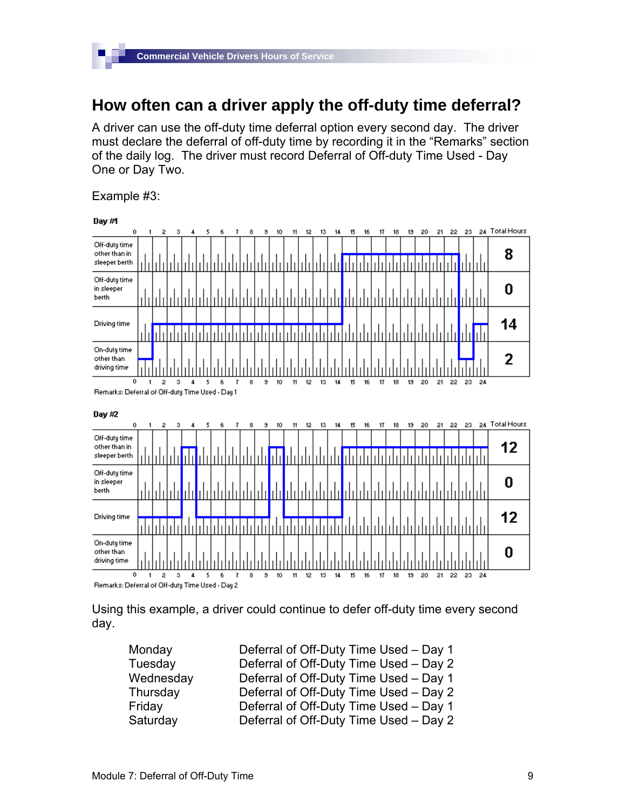## **How often can a driver apply the off-duty time deferral?**

A driver can use the off-duty time deferral option every second day. The driver must declare the deferral of off-duty time by recording it in the "Remarks" section of the daily log. The driver must record Deferral of Off-duty Time Used - Day One or Day Two.

Example #3:

П



Using this example, a driver could continue to defer off-duty time every second day.

| Monday    | Deferral of Off-Duty Time Used - Day 1 |
|-----------|----------------------------------------|
| Tuesday   | Deferral of Off-Duty Time Used - Day 2 |
| Wednesday | Deferral of Off-Duty Time Used - Day 1 |
| Thursday  | Deferral of Off-Duty Time Used - Day 2 |
| Friday    | Deferral of Off-Duty Time Used - Day 1 |
| Saturday  | Deferral of Off-Duty Time Used - Day 2 |
|           |                                        |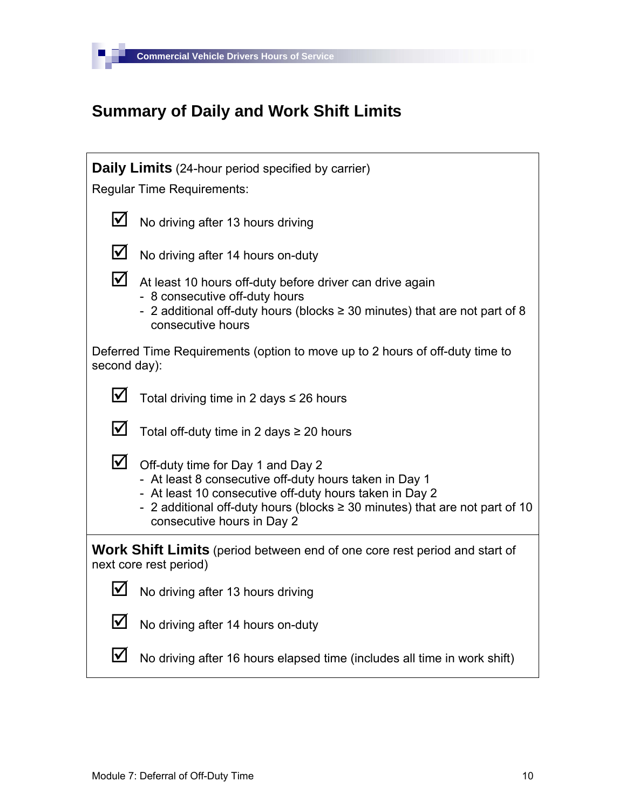

E

## **Summary of Daily and Work Shift Limits**

|                            | <b>Daily Limits</b> (24-hour period specified by carrier)                                                                                                                                                                                                                |
|----------------------------|--------------------------------------------------------------------------------------------------------------------------------------------------------------------------------------------------------------------------------------------------------------------------|
|                            | <b>Regular Time Requirements:</b>                                                                                                                                                                                                                                        |
| $\boldsymbol{\mathsf{M}}$  | No driving after 13 hours driving                                                                                                                                                                                                                                        |
| $\blacktriangledown$       | No driving after 14 hours on-duty                                                                                                                                                                                                                                        |
| $\boldsymbol{\nabla}$      | At least 10 hours off-duty before driver can drive again<br>- 8 consecutive off-duty hours<br>- 2 additional off-duty hours (blocks $\geq$ 30 minutes) that are not part of 8<br>consecutive hours                                                                       |
| second day):               | Deferred Time Requirements (option to move up to 2 hours of off-duty time to                                                                                                                                                                                             |
| $\boldsymbol{\mathcal{N}}$ | Total driving time in 2 days $\leq$ 26 hours                                                                                                                                                                                                                             |
| $\bm{\mathcal{V}}$         | Total off-duty time in 2 days $\geq$ 20 hours                                                                                                                                                                                                                            |
| $\boldsymbol{\mathsf{M}}$  | Off-duty time for Day 1 and Day 2<br>- At least 8 consecutive off-duty hours taken in Day 1<br>- At least 10 consecutive off-duty hours taken in Day 2<br>- 2 additional off-duty hours (blocks $\geq$ 30 minutes) that are not part of 10<br>consecutive hours in Day 2 |
|                            | <b>Work Shift Limits</b> (period between end of one core rest period and start of<br>next core rest period)                                                                                                                                                              |
| I√                         | No driving after 13 hours driving                                                                                                                                                                                                                                        |
| $\boldsymbol{\mathcal{N}}$ | No driving after 14 hours on-duty                                                                                                                                                                                                                                        |
| l✔                         | No driving after 16 hours elapsed time (includes all time in work shift)                                                                                                                                                                                                 |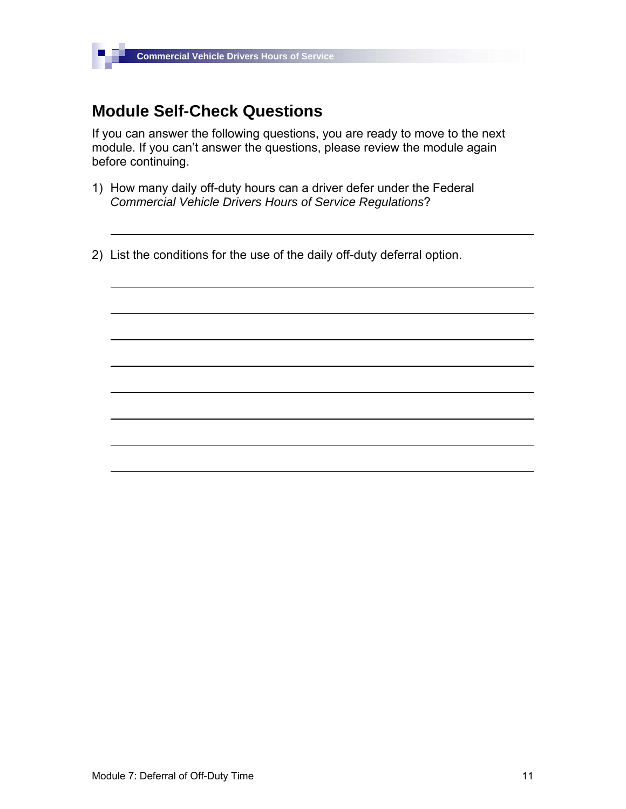## **Module Self-Check Questions**

 $\blacksquare$ 

If you can answer the following questions, you are ready to move to the next module. If you can't answer the questions, please review the module again before continuing.

- 1) How many daily off-duty hours can a driver defer under the Federal *Commercial Vehicle Drivers Hours of Service Regulations*?
- 2) List the conditions for the use of the daily off-duty deferral option.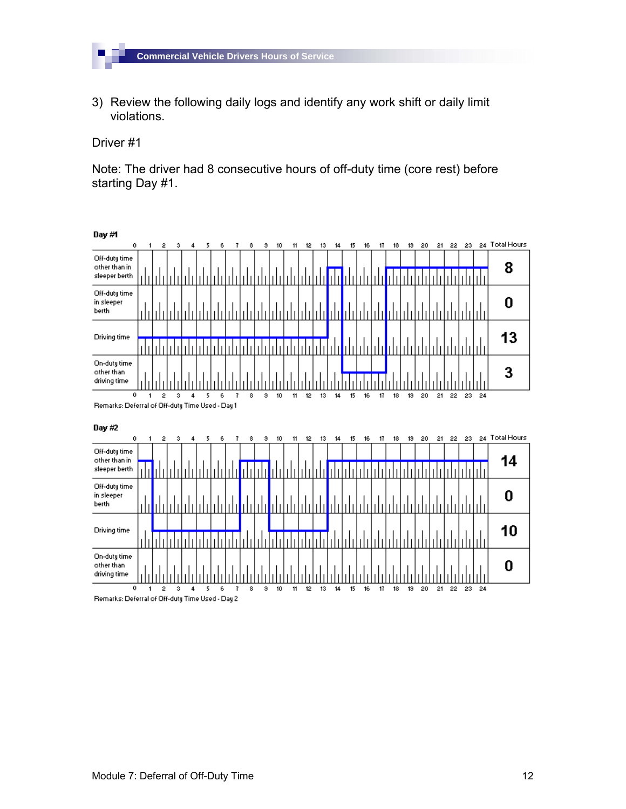

3) Review the following daily logs and identify any work shift or daily limit violations.

Driver #1

П

Note: The driver had 8 consecutive hours of off-duty time (core rest) before starting Day #1.

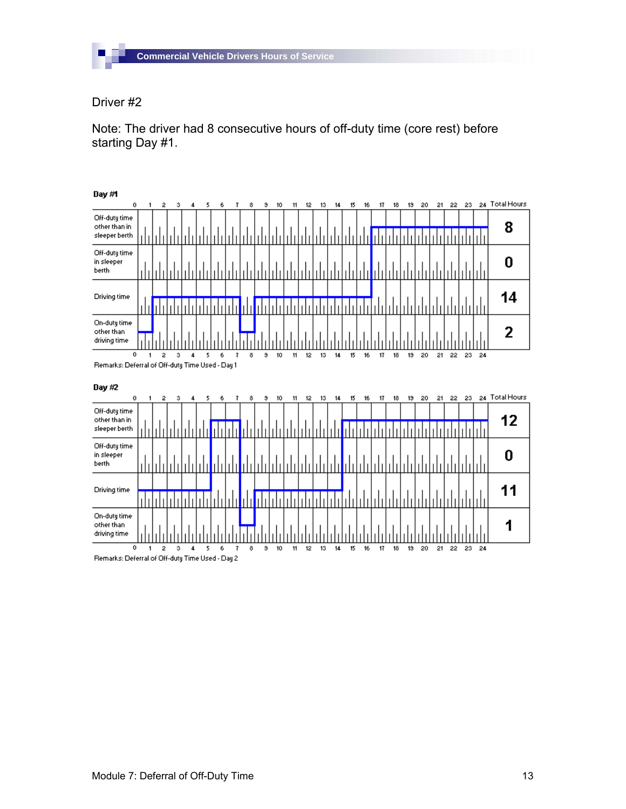

П

Note: The driver had 8 consecutive hours of off-duty time (core rest) before starting Day #1.

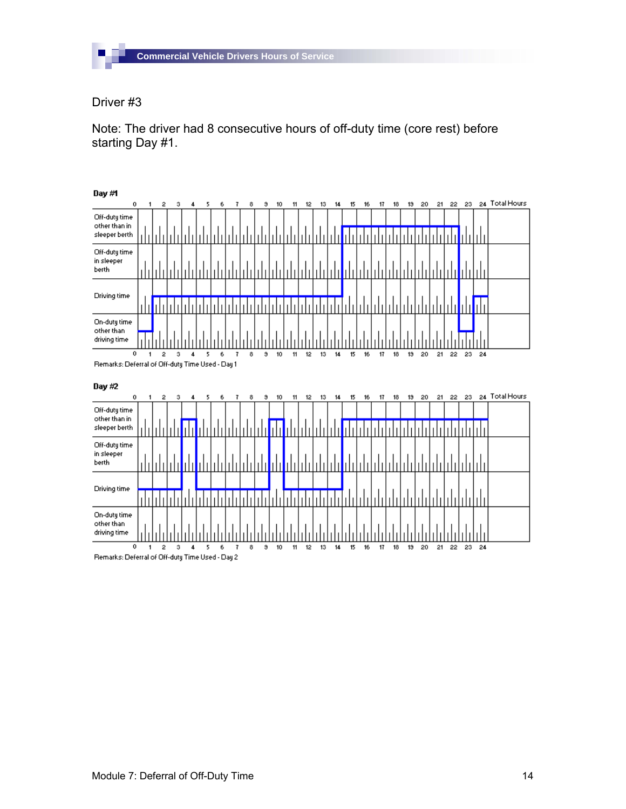

П

Note: The driver had 8 consecutive hours of off-duty time (core rest) before starting Day #1.

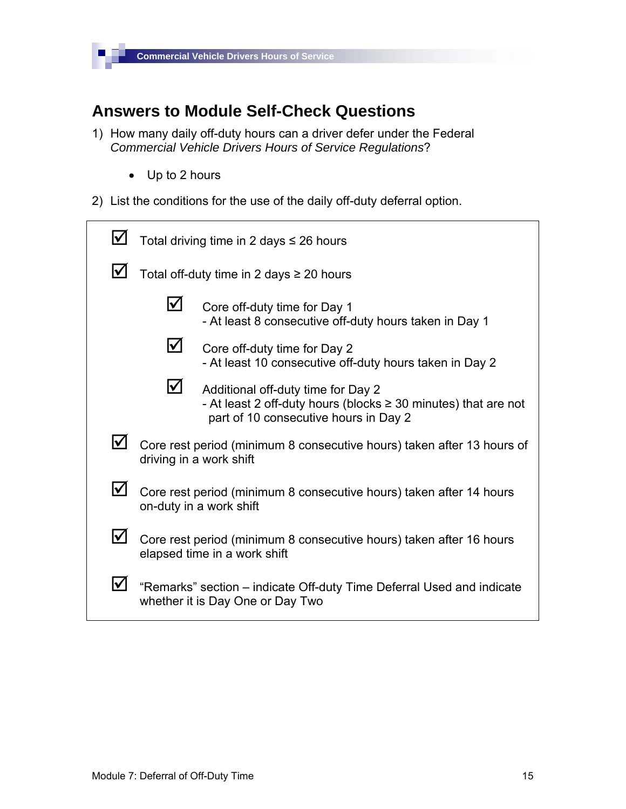

## **Answers to Module Self-Check Questions**

- 1) How many daily off-duty hours can a driver defer under the Federal *Commercial Vehicle Drivers Hours of Service Regulations*?
	- Up to 2 hours
- 2) List the conditions for the use of the daily off-duty deferral option.

|    | Total driving time in 2 days $\leq$ 26 hours                                                              |                                                                                                                                                    |  |
|----|-----------------------------------------------------------------------------------------------------------|----------------------------------------------------------------------------------------------------------------------------------------------------|--|
| IV | Total off-duty time in 2 days $\geq$ 20 hours                                                             |                                                                                                                                                    |  |
|    | $ \!\sqrt{}$                                                                                              | Core off-duty time for Day 1<br>- At least 8 consecutive off-duty hours taken in Day 1                                                             |  |
|    | $\blacktriangledown$                                                                                      | Core off-duty time for Day 2<br>- At least 10 consecutive off-duty hours taken in Day 2                                                            |  |
|    | ⊻                                                                                                         | Additional off-duty time for Day 2<br>- At least 2 off-duty hours (blocks $\geq$ 30 minutes) that are not<br>part of 10 consecutive hours in Day 2 |  |
| Ⅳ  |                                                                                                           | Core rest period (minimum 8 consecutive hours) taken after 13 hours of<br>driving in a work shift                                                  |  |
| l✔ | Core rest period (minimum 8 consecutive hours) taken after 14 hours<br>on-duty in a work shift            |                                                                                                                                                    |  |
| Ⅳ  |                                                                                                           | Core rest period (minimum 8 consecutive hours) taken after 16 hours<br>elapsed time in a work shift                                                |  |
| V  | "Remarks" section – indicate Off-duty Time Deferral Used and indicate<br>whether it is Day One or Day Two |                                                                                                                                                    |  |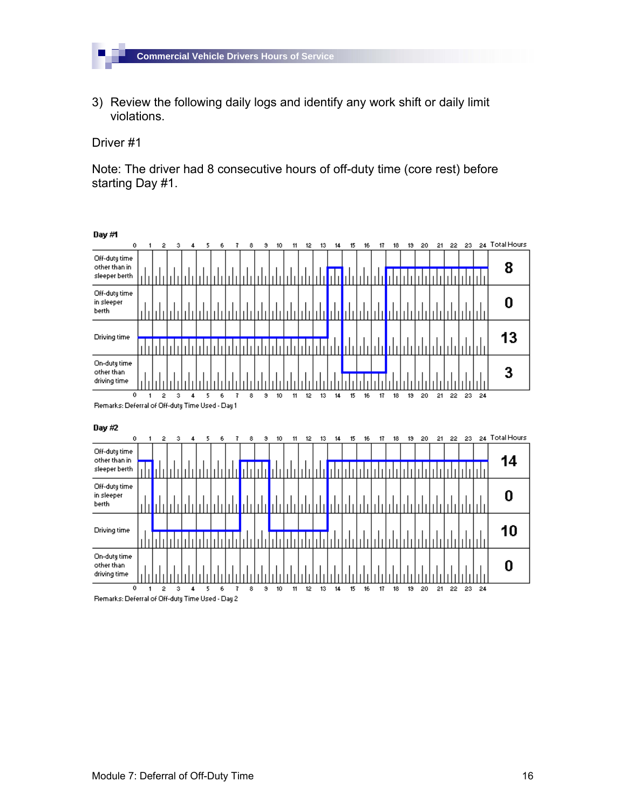

3) Review the following daily logs and identify any work shift or daily limit violations.

Driver #1

П

Note: The driver had 8 consecutive hours of off-duty time (core rest) before starting Day #1.

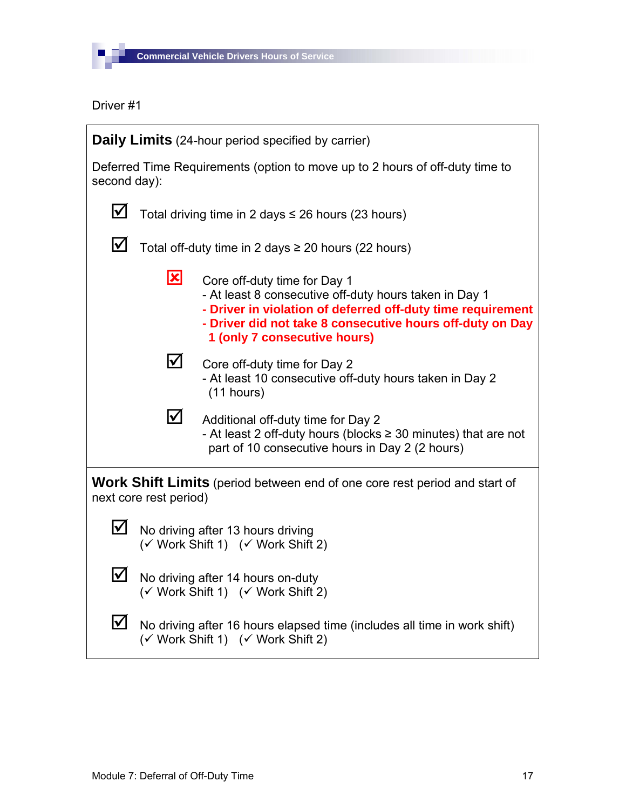

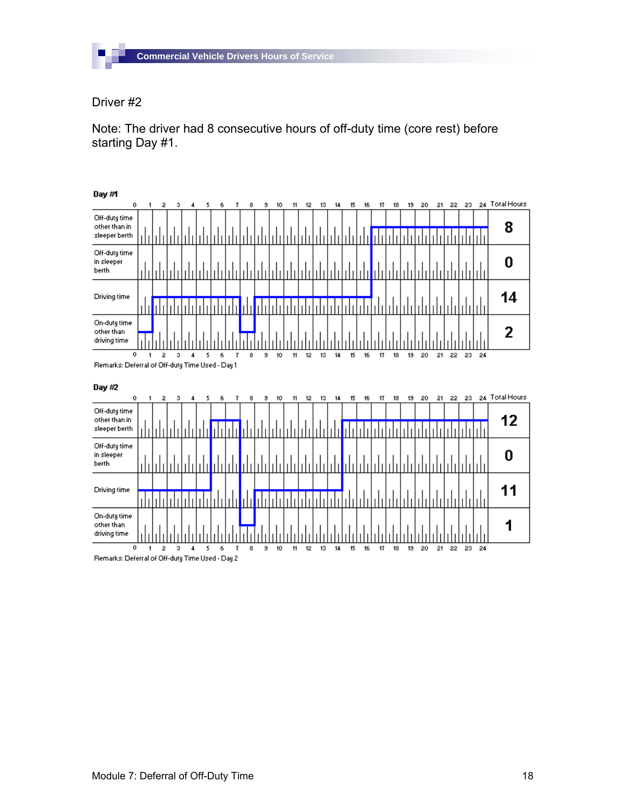

П

Note: The driver had 8 consecutive hours of off-duty time (core rest) before starting Day #1.

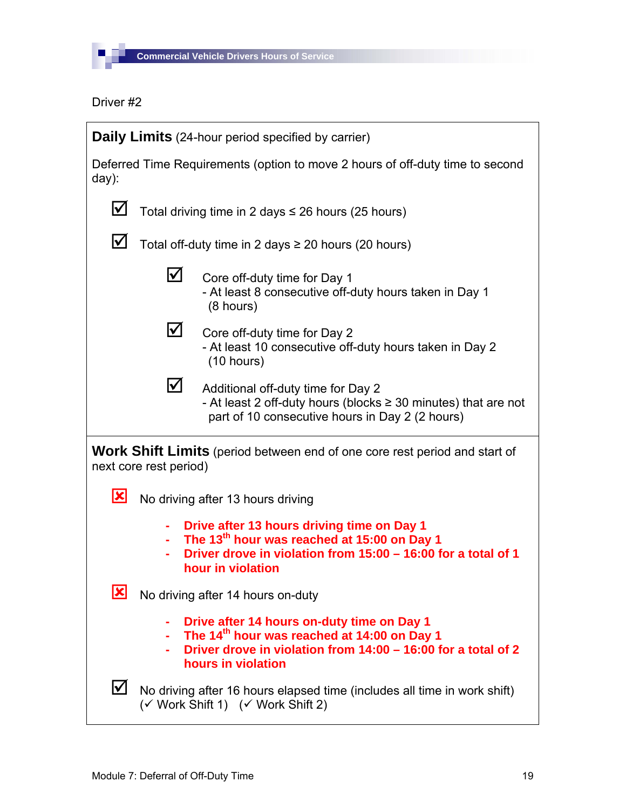

| <b>Daily Limits</b> (24-hour period specified by carrier) |                                                                                                               |                                                                                                                                                                                              |  |  |
|-----------------------------------------------------------|---------------------------------------------------------------------------------------------------------------|----------------------------------------------------------------------------------------------------------------------------------------------------------------------------------------------|--|--|
| $day)$ :                                                  |                                                                                                               | Deferred Time Requirements (option to move 2 hours of off-duty time to second                                                                                                                |  |  |
| M                                                         |                                                                                                               | Total driving time in 2 days $\leq$ 26 hours (25 hours)                                                                                                                                      |  |  |
| $\boldsymbol{\mathsf{V}}$                                 | Total off-duty time in 2 days ≥ 20 hours (20 hours)                                                           |                                                                                                                                                                                              |  |  |
|                                                           | $\bm{\triangledown}$                                                                                          | Core off-duty time for Day 1<br>- At least 8 consecutive off-duty hours taken in Day 1<br>$(8 \text{ hours})$                                                                                |  |  |
|                                                           | M                                                                                                             | Core off-duty time for Day 2<br>- At least 10 consecutive off-duty hours taken in Day 2<br>(10 hours)                                                                                        |  |  |
|                                                           | $\boldsymbol{\mathsf{M}}$                                                                                     | Additional off-duty time for Day 2<br>- At least 2 off-duty hours (blocks $\geq$ 30 minutes) that are not<br>part of 10 consecutive hours in Day 2 (2 hours)                                 |  |  |
|                                                           | next core rest period)                                                                                        | <b>Work Shift Limits</b> (period between end of one core rest period and start of                                                                                                            |  |  |
| $\vert x \vert$                                           |                                                                                                               | No driving after 13 hours driving                                                                                                                                                            |  |  |
|                                                           |                                                                                                               | Drive after 13 hours driving time on Day 1<br>The 13 <sup>th</sup> hour was reached at 15:00 on Day 1<br>Driver drove in violation from 15:00 - 16:00 for a total of 1<br>hour in violation  |  |  |
| $\vert \mathbf{x} \vert$                                  |                                                                                                               | No driving after 14 hours on-duty                                                                                                                                                            |  |  |
|                                                           |                                                                                                               | Drive after 14 hours on-duty time on Day 1<br>The 14 <sup>th</sup> hour was reached at 14:00 on Day 1<br>Driver drove in violation from 14:00 - 16:00 for a total of 2<br>hours in violation |  |  |
| M                                                         | No driving after 16 hours elapsed time (includes all time in work shift)<br>(√ Work Shift 1) (√ Work Shift 2) |                                                                                                                                                                                              |  |  |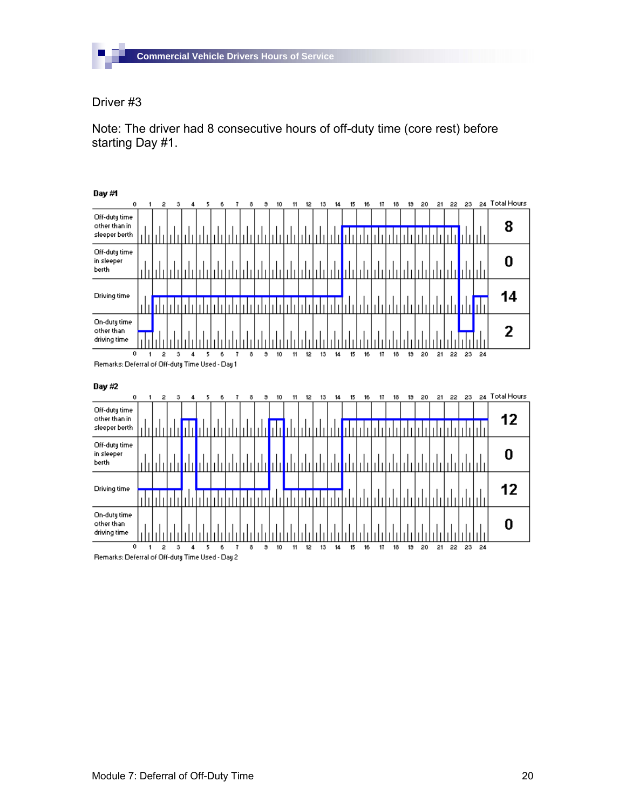

П

Note: The driver had 8 consecutive hours of off-duty time (core rest) before starting Day #1.

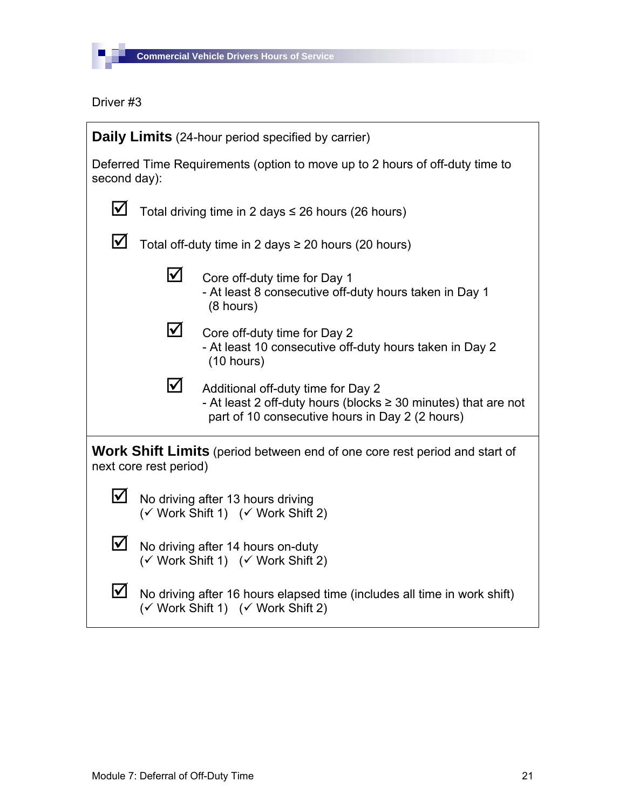

| <b>Daily Limits</b> (24-hour period specified by carrier) |                                                                                                               |                                                                                                                                                              |  |
|-----------------------------------------------------------|---------------------------------------------------------------------------------------------------------------|--------------------------------------------------------------------------------------------------------------------------------------------------------------|--|
|                                                           | Deferred Time Requirements (option to move up to 2 hours of off-duty time to<br>second day):                  |                                                                                                                                                              |  |
| $\boldsymbol{\mathsf{\large{\vee}}}$                      | Total driving time in 2 days $\leq$ 26 hours (26 hours)                                                       |                                                                                                                                                              |  |
| $\bm{\mathsf{\large{\vee}}}$                              | Total off-duty time in 2 days $\geq$ 20 hours (20 hours)                                                      |                                                                                                                                                              |  |
|                                                           | $\blacktriangledown$                                                                                          | Core off-duty time for Day 1<br>- At least 8 consecutive off-duty hours taken in Day 1<br>(8 hours)                                                          |  |
|                                                           | $\Delta$                                                                                                      | Core off-duty time for Day 2<br>- At least 10 consecutive off-duty hours taken in Day 2<br>(10 hours)                                                        |  |
|                                                           | M                                                                                                             | Additional off-duty time for Day 2<br>- At least 2 off-duty hours (blocks $\geq$ 30 minutes) that are not<br>part of 10 consecutive hours in Day 2 (2 hours) |  |
|                                                           | next core rest period)                                                                                        | Work Shift Limits (period between end of one core rest period and start of                                                                                   |  |
| $\blacktriangledown$                                      |                                                                                                               | No driving after 13 hours driving<br>(√ Work Shift 1) (√ Work Shift 2)                                                                                       |  |
| M                                                         | No driving after 14 hours on-duty<br>(√ Work Shift 1) (√ Work Shift 2)                                        |                                                                                                                                                              |  |
| $\bm{\mathsf{\underline{V}}}$                             | No driving after 16 hours elapsed time (includes all time in work shift)<br>(√ Work Shift 1) (√ Work Shift 2) |                                                                                                                                                              |  |